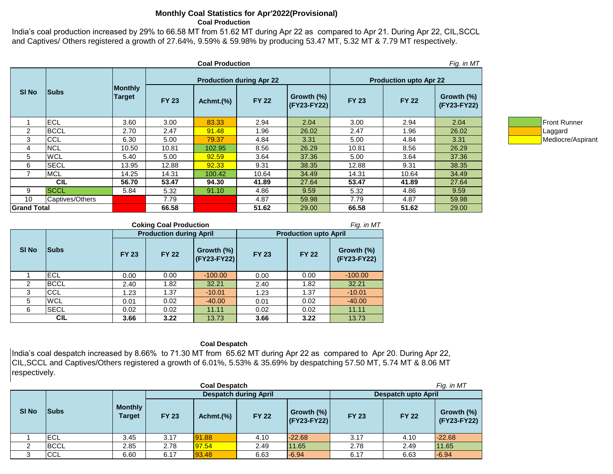## **Monthly Coal Statistics for Apr'2022(Provisional) Coal Production**

India's coal production increased by 29% to 66.58 MT from 51.62 MT during Apr 22 as compared to Apr 21. During Apr 22, CIL,SCCL and Captives/ Others registered a growth of 27.64%, 9.59% & 59.98% by producing 53.47 MT, 5.32 MT & 7.79 MT respectively.

|                    |                 |                                 |              | <b>Coal Production</b> |                                 |                                  |                               |              | Fig. in MT                |                     |
|--------------------|-----------------|---------------------------------|--------------|------------------------|---------------------------------|----------------------------------|-------------------------------|--------------|---------------------------|---------------------|
| SI No              | <b>Subs</b>     |                                 |              |                        | <b>Production during Apr 22</b> |                                  | <b>Production upto Apr 22</b> |              |                           |                     |
|                    |                 | <b>Monthly</b><br><b>Target</b> | <b>FY 23</b> | Achmt.(%)              | <b>FY 22</b>                    | Growth $(\%)$<br>$ $ (FY23-FY22) | <b>FY 23</b>                  | <b>FY 22</b> | Growth (%)<br>(FY23-FY22) |                     |
|                    | ECL             | 3.60                            | 3.00         | 83.33                  | 2.94                            | 2.04                             | 3.00                          | 2.94         | 2.04                      | <b>Front Runner</b> |
| 2                  | <b>BCCL</b>     | 2.70                            | 2.47         | 91.48                  | 1.96                            | 26.02                            | 2.47                          | 1.96         | 26.02                     | Laggard             |
| 3                  | <b>CCL</b>      | 6.30                            | 5.00         | 79.37                  | 4.84                            | 3.31                             | 5.00                          | 4.84         | 3.31                      | Mediocre/Asp        |
| 4                  | <b>NCL</b>      | 10.50                           | 10.81        | 102.95                 | 8.56                            | 26.29                            | 10.81                         | 8.56         | 26.29                     |                     |
| 5                  | <b>WCL</b>      | 5.40                            | 5.00         | 92.59                  | 3.64                            | 37.36                            | 5.00                          | 3.64         | 37.36                     |                     |
| 6                  | <b>SECL</b>     | 13.95                           | 12.88        | 92.33                  | 9.31                            | 38.35                            | 12.88                         | 9.31         | 38.35                     |                     |
|                    | <b>MCL</b>      | 14.25                           | 14.31        | 100.42                 | 10.64                           | 34.49                            | 14.31                         | 10.64        | 34.49                     |                     |
|                    | <b>CIL</b>      | 56.70                           | 53.47        | 94.30                  | 41.89                           | 27.64                            | 53.47                         | 41.89        | 27.64                     |                     |
| 9                  | <b>SCCL</b>     | 5.84                            | 5.32         | 91.10                  | 4.86                            | 9.59                             | 5.32                          | 4.86         | 9.59                      |                     |
| 10                 | Captives/Others |                                 | 7.79         |                        | 4.87                            | 59.98                            | 7.79                          | 4.87         | 59.98                     |                     |
| <b>Grand Total</b> |                 |                                 | 66.58        |                        | 51.62                           | 29.00                            | 66.58                         | 51.62        | 29.00                     |                     |



|             | <b>Coking Coal Production</b><br>Fig. in MT |              |                                |                              |                              |              |                           |  |  |  |  |
|-------------|---------------------------------------------|--------------|--------------------------------|------------------------------|------------------------------|--------------|---------------------------|--|--|--|--|
|             |                                             |              | <b>Production during April</b> |                              | <b>Production upto April</b> |              |                           |  |  |  |  |
| <b>SINO</b> | <b>Subs</b>                                 | <b>FY 23</b> | <b>FY 22</b>                   | Growth $(\%)$<br>(FY23-FY22) | <b>FY 23</b>                 | <b>FY 22</b> | Growth (%)<br>(FY23-FY22) |  |  |  |  |
|             | ECL                                         | 0.00         | 0.00                           | $-100.00$                    | 0.00                         | 0.00         | $-100.00$                 |  |  |  |  |
| 2           | <b>BCCL</b>                                 | 2.40         | 1.82                           | 32.21                        | 2.40                         | 1.82         | 32.21                     |  |  |  |  |
| 3           | CCL                                         | 1.23         | 1.37                           | $-10.01$                     | 1.23                         | 1.37         | $-10.01$                  |  |  |  |  |
| 5           | <b>WCL</b>                                  | 0.01         | 0.02                           | $-40.00$                     | 0.01                         | 0.02         | $-40.00$                  |  |  |  |  |
| 6           | <b>SECL</b>                                 | 0.02         | 0.02                           | 11.11                        | 0.02                         | 0.02         | 11.11                     |  |  |  |  |
|             | CIL                                         | 3.66         | 3.22                           | 13.73                        | 3.66                         | 3.22         | 13.73                     |  |  |  |  |

## **Coal Despatch**

India's coal despatch increased by 8.66% to 71.30 MT from 65.62 MT during Apr 22 as compared to Apr 20. During Apr 22, CIL,SCCL and Captives/Others registered a growth of 6.01%, 5.53% & 35.69% by despatching 57.50 MT, 5.74 MT & 8.06 MT respectively.

|              | <b>Coal Despatch</b> |                                 |              |                              |              |                           |              |                            | Fig. in MT                |  |  |
|--------------|----------------------|---------------------------------|--------------|------------------------------|--------------|---------------------------|--------------|----------------------------|---------------------------|--|--|
|              |                      |                                 |              | <b>Despatch during April</b> |              |                           |              | <b>Despatch upto April</b> |                           |  |  |
| <b>SI No</b> | <b>Subs</b>          | <b>Monthly</b><br><b>Target</b> | <b>FY 23</b> | Achmt.(%)                    | <b>FY 22</b> | Growth (%)<br>(FY23-FY22) | <b>FY 23</b> | <b>FY 22</b>               | Growth (%)<br>(FY23-FY22) |  |  |
|              | <b>IECL</b>          | 3.45                            | 3.17         | 91.88                        | 4.10         | $-22.68$                  | 3.17         | 4.10                       | $-22.68$                  |  |  |
| 2            | <b>BCCL</b>          | 2.85                            | 2.78         | 97.54                        | 2.49         | 11.65                     | 2.78         | 2.49                       | 11.65                     |  |  |
| 3            | <b>CCL</b>           | 6.60                            | 6.17         | 93.48                        | 6.63         | $-6.94$                   | 6.17         | 6.63                       | $-6.94$                   |  |  |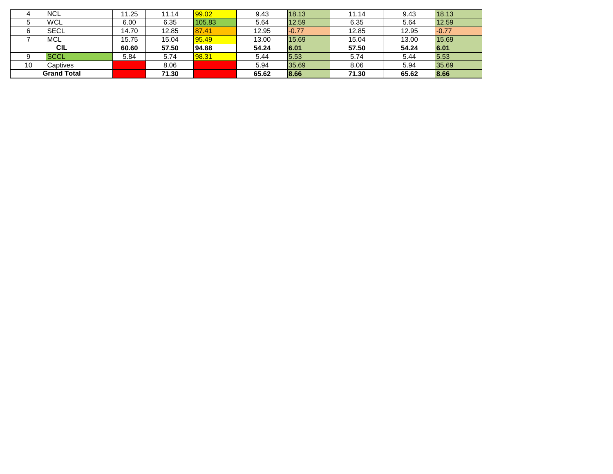|    | <b>NCL</b>         | 11.25 | 11.14 | 99.02  | 9.43  | 18.13   | 11.14 | 9.43  | 18.13   |
|----|--------------------|-------|-------|--------|-------|---------|-------|-------|---------|
|    | <b>WCL</b>         | 6.00  | 6.35  | 105.83 | 5.64  | 12.59   | 6.35  | 5.64  | 12.59   |
| ิล | <b>SECL</b>        | 14.70 | 12.85 | 87.41  | 12.95 | $-0.77$ | 12.85 | 12.95 | $-0.77$ |
|    | <b>MCL</b>         | 15.75 | 15.04 | 95.49  | 13.00 | 15.69   | 15.04 | 13.00 | 15.69   |
|    | <b>CIL</b>         | 60.60 | 57.50 | 94.88  | 54.24 | 6.01    | 57.50 | 54.24 | 6.01    |
|    | <b>ISCCL</b>       | 5.84  | 5.74  | 98.31  | 5.44  | 5.53    | 5.74  | 5.44  | 5.53    |
| 10 | Captives           |       | 8.06  |        | 5.94  | 35.69   | 8.06  | 5.94  | 35.69   |
|    | <b>Grand Total</b> |       | 71.30 |        | 65.62 | 8.66    | 71.30 | 65.62 | 8.66    |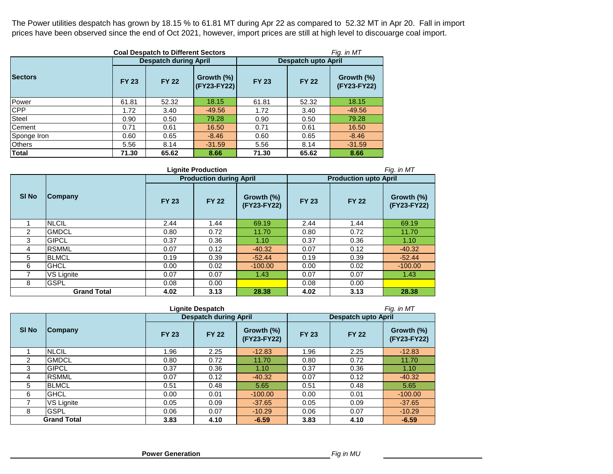The Power utilities despatch has grown by 18.15 % to 61.81 MT during Apr 22 as compared to 52.32 MT in Apr 20. Fall in import prices have been observed since the end of Oct 2021, however, import prices are still at high level to discouarge coal import.

|                | Fig. in MT<br><b>Coal Despatch to Different Sectors</b> |                              |                           |                            |              |                           |  |  |  |
|----------------|---------------------------------------------------------|------------------------------|---------------------------|----------------------------|--------------|---------------------------|--|--|--|
|                |                                                         | <b>Despatch during April</b> |                           | <b>Despatch upto April</b> |              |                           |  |  |  |
| <b>Sectors</b> | <b>FY 23</b>                                            | <b>FY 22</b>                 | Growth (%)<br>(FY23-FY22) | <b>FY 23</b>               | <b>FY 22</b> | Growth (%)<br>(FY23-FY22) |  |  |  |
| Power          | 61.81                                                   | 52.32                        | 18.15                     | 61.81                      | 52.32        | 18.15                     |  |  |  |
| <b>CPP</b>     | 1.72                                                    | 3.40                         | $-49.56$                  | 1.72                       | 3.40         | $-49.56$                  |  |  |  |
| Steel          | 0.90                                                    | 0.50                         | 79.28                     | 0.90                       | 0.50         | 79.28                     |  |  |  |
| Cement         | 0.71                                                    | 0.61                         | 16.50                     | 0.71                       | 0.61         | 16.50                     |  |  |  |
| Sponge Iron    | 0.60                                                    | 0.65                         | $-8.46$                   | 0.60                       | 0.65         | $-8.46$                   |  |  |  |
| <b>Others</b>  | 5.56                                                    | 8.14                         | $-31.59$                  | 5.56                       | 8.14         | $-31.59$                  |  |  |  |
| <b>Total</b>   | 71.30                                                   | 65.62                        | 8.66                      | 71.30                      | 65.62        | 8.66                      |  |  |  |

|              | <b>Lignite Production</b><br>Fig. in MT |              |                                |                           |                              |              |                           |  |  |  |  |
|--------------|-----------------------------------------|--------------|--------------------------------|---------------------------|------------------------------|--------------|---------------------------|--|--|--|--|
|              |                                         |              | <b>Production during April</b> |                           | <b>Production upto April</b> |              |                           |  |  |  |  |
| <b>SI No</b> | Company                                 | <b>FY 23</b> | <b>FY 22</b>                   | Growth (%)<br>(FY23-FY22) | <b>FY 23</b>                 | <b>FY 22</b> | Growth (%)<br>(FY23-FY22) |  |  |  |  |
|              | <b>NLCIL</b>                            | 2.44         | 1.44                           | 69.19                     | 2.44                         | 1.44         | 69.19                     |  |  |  |  |
| 2            | <b>GMDCL</b>                            | 0.80         | 0.72                           | 11.70                     | 0.80                         | 0.72         | 11.70                     |  |  |  |  |
| 3            | <b>GIPCL</b>                            | 0.37         | 0.36                           | 1.10                      | 0.37                         | 0.36         | 1.10                      |  |  |  |  |
| 4            | <b>RSMML</b>                            | 0.07         | 0.12                           | $-40.32$                  | 0.07                         | 0.12         | $-40.32$                  |  |  |  |  |
| 5            | <b>BLMCL</b>                            | 0.19         | 0.39                           | $-52.44$                  | 0.19                         | 0.39         | $-52.44$                  |  |  |  |  |
| 6            | <b>GHCL</b>                             | 0.00         | 0.02                           | $-100.00$                 | 0.00                         | 0.02         | $-100.00$                 |  |  |  |  |
|              | VS Lignite                              | 0.07         | 0.07                           | 1.43                      | 0.07                         | 0.07         | 1.43                      |  |  |  |  |
| 8            | <b>GSPL</b>                             | 0.08         | 0.00                           |                           | 0.08                         | 0.00         |                           |  |  |  |  |
|              | <b>Grand Total</b>                      | 4.02         | 3.13                           | 28.38                     | 4.02                         | 3.13         | 28.38                     |  |  |  |  |

|              |                    | Fig. in MT   |                              |                           |                            |              |                           |  |
|--------------|--------------------|--------------|------------------------------|---------------------------|----------------------------|--------------|---------------------------|--|
|              | Company            |              | <b>Despatch during April</b> |                           | <b>Despatch upto April</b> |              |                           |  |
| <b>SI No</b> |                    | <b>FY 23</b> | <b>FY 22</b>                 | Growth (%)<br>(FY23-FY22) | <b>FY 23</b>               | <b>FY 22</b> | Growth (%)<br>(FY23-FY22) |  |
|              | <b>NLCIL</b>       | 1.96         | 2.25                         | $-12.83$                  | 1.96                       | 2.25         | $-12.83$                  |  |
| 2            | <b>GMDCL</b>       | 0.80         | 0.72                         | 11.70                     | 0.80                       | 0.72         | 11.70                     |  |
| 3            | <b>GIPCL</b>       | 0.37         | 0.36                         | 1.10                      | 0.37                       | 0.36         | 1.10                      |  |
| 4            | <b>RSMML</b>       | 0.07         | 0.12                         | $-40.32$                  | 0.07                       | 0.12         | $-40.32$                  |  |
| 5            | <b>BLMCL</b>       | 0.51         | 0.48                         | 5.65                      | 0.51                       | 0.48         | 5.65                      |  |
| 6            | <b>GHCL</b>        | 0.00         | 0.01                         | $-100.00$                 | 0.00                       | 0.01         | $-100.00$                 |  |
|              | VS Lignite         | 0.05         | 0.09                         | $-37.65$                  | 0.05                       | 0.09         | $-37.65$                  |  |
| 8            | <b>GSPL</b>        | 0.06         | 0.07                         | $-10.29$                  | 0.06                       | 0.07         | $-10.29$                  |  |
|              | <b>Grand Total</b> | 3.83         | 4.10                         | $-6.59$                   | 3.83                       | 4.10         | $-6.59$                   |  |

 **Power Generation**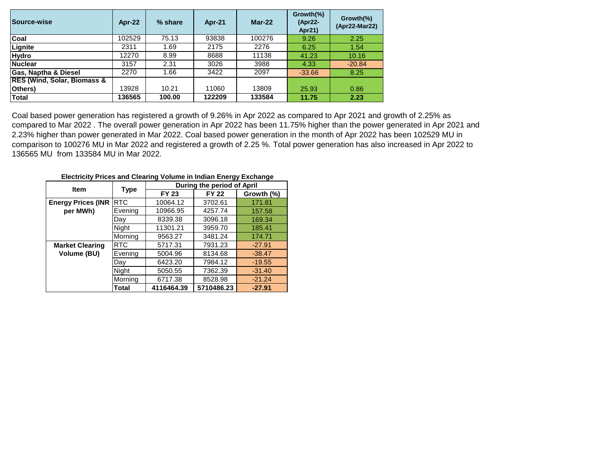| Source-wise                            | <b>Apr-22</b> | % share | Apr-21 | $Mar-22$ | Growth(%)<br>(Apr22-<br>Apr21) | Growth(%)<br>(Apr22-Mar22) |
|----------------------------------------|---------------|---------|--------|----------|--------------------------------|----------------------------|
| Coal                                   | 102529        | 75.13   | 93838  | 100276   | 9.26                           | 2.25                       |
| Lignite                                | 2311          | 1.69    | 2175   | 2276     | 6.25                           | 1.54                       |
| <b>Hydro</b>                           | 12270         | 8.99    | 8688   | 11138    | 41.23                          | 10.16                      |
| <b>Nuclear</b>                         | 3157          | 2.31    | 3026   | 3988     | 4.33                           | $-20.84$                   |
| <b>Gas, Naptha &amp; Diesel</b>        | 2270          | 1.66    | 3422   | 2097     | $-33.66$                       | 8.25                       |
| <b>RES (Wind, Solar, Biomass &amp;</b> |               |         |        |          |                                |                            |
| Others)                                | 13928         | 10.21   | 11060  | 13809    | 25.93                          | 0.86                       |
| <b>Total</b>                           | 136565        | 100.00  | 122209 | 133584   | 11.75                          | 2.23                       |

Coal based power generation has registered a growth of 9.26% in Apr 2022 as compared to Apr 2021 and growth of 2.25% as compared to Mar 2022 . The overall power generation in Apr 2022 has been 11.75% higher than the power generated in Apr 2021 and 2.23% higher than power generated in Mar 2022. Coal based power generation in the month of Apr 2022 has been 102529 MU in comparison to 100276 MU in Mar 2022 and registered a growth of 2.25 %. Total power generation has also increased in Apr 2022 to 136565 MU from 133584 MU in Mar 2022.

 **Electricity Prices and Clearing Volume in Indian Energy Exchange**

| <b>Item</b>               |            |              | During the period of April |            |  |  |  |  |
|---------------------------|------------|--------------|----------------------------|------------|--|--|--|--|
|                           | Type       | <b>FY 23</b> | <b>FY 22</b>               | Growth (%) |  |  |  |  |
| <b>Energy Prices (INR</b> | <b>RTC</b> | 10064.12     | 3702.61                    | 171.81     |  |  |  |  |
| per MWh)                  | Evening    | 10966.95     | 4257.74                    | 157.58     |  |  |  |  |
|                           | Day.       | 8339.38      | 3096.18                    | 169.34     |  |  |  |  |
|                           | Night      | 11301.21     | 3959.70                    | 185.41     |  |  |  |  |
|                           | Morning    | 9563.27      | 3481.24                    | 174.71     |  |  |  |  |
| <b>Market Clearing</b>    | <b>RTC</b> | 5717.31      | 7931.23                    | $-27.91$   |  |  |  |  |
| Volume (BU)               | Evening    | 5004.96      | 8134.68                    | $-38.47$   |  |  |  |  |
|                           | Day        | 6423.20      | 7984.12                    | $-19.55$   |  |  |  |  |
|                           | Night      | 5050.55      | 7362.39                    | $-31.40$   |  |  |  |  |
|                           | Morning    | 6717.38      | 8528.98                    | $-21.24$   |  |  |  |  |
|                           | Total      | 4116464.39   | 5710486.23                 | $-27.91$   |  |  |  |  |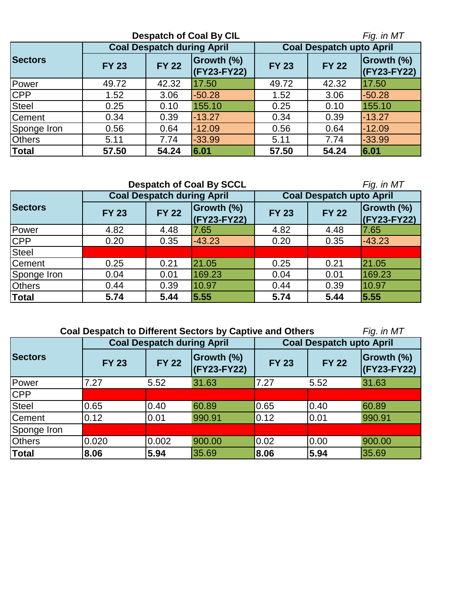|                | Fig. in MT   |                                   |                           |                                 |              |                                  |  |
|----------------|--------------|-----------------------------------|---------------------------|---------------------------------|--------------|----------------------------------|--|
|                |              | <b>Coal Despatch during April</b> |                           | <b>Coal Despatch upto April</b> |              |                                  |  |
| <b>Sectors</b> | <b>FY 23</b> | <b>FY 22</b>                      | Growth (%)<br>(FY23-FY22) | <b>FY 23</b>                    | <b>FY 22</b> | <b>Growth (%)</b><br>(FY23-FY22) |  |
| Power          | 49.72        | 42.32                             | 17.50                     | 49.72                           | 42.32        | 17.50                            |  |
| <b>CPP</b>     | 1.52         | 3.06                              | $-50.28$                  | 1.52                            | 3.06         | $-50.28$                         |  |
| <b>Steel</b>   | 0.25         | 0.10                              | 155.10                    | 0.25                            | 0.10         | 155.10                           |  |
| Cement         | 0.34         | 0.39                              | $-13.27$                  | 0.34                            | 0.39         | $-13.27$                         |  |
| Sponge Iron    | 0.56         | 0.64                              | $-12.09$                  | 0.56                            | 0.64         | $-12.09$                         |  |
| <b>Others</b>  | 5.11         | 7.74                              | $-33.99$                  | 5.11                            | 7.74         | $-33.99$                         |  |
| <b>Total</b>   | 57.50        | 54.24                             | 6.01                      | 57.50                           | 54.24        | 6.01                             |  |

|                | <b>Despatch of Coal By SCCL</b> |                                   |                             | Fig. in MT                      |              |                                  |  |
|----------------|---------------------------------|-----------------------------------|-----------------------------|---------------------------------|--------------|----------------------------------|--|
|                |                                 | <b>Coal Despatch during April</b> |                             | <b>Coal Despatch upto April</b> |              |                                  |  |
| <b>Sectors</b> | <b>FY 23</b>                    | <b>FY 22</b>                      | Growth (%)<br>$(KY23-FY22)$ | <b>FY 23</b>                    | <b>FY 22</b> | <b>Growth (%)</b><br>(FY23-FY22) |  |
| Power          | 4.82                            | 4.48                              | 7.65                        | 4.82                            | 4.48         | 7.65                             |  |
| <b>CPP</b>     | 0.20                            | 0.35                              | $-43.23$                    | 0.20                            | 0.35         | $-43.23$                         |  |
| <b>Steel</b>   |                                 |                                   |                             |                                 |              |                                  |  |
| <b>Cement</b>  | 0.25                            | 0.21                              | 21.05                       | 0.25                            | 0.21         | 21.05                            |  |
| Sponge Iron    | 0.04                            | 0.01                              | 169.23                      | 0.04                            | 0.01         | 169.23                           |  |
| <b>Others</b>  | 0.44                            | 0.39                              | 10.97                       | 0.44                            | 0.39         | 10.97                            |  |
| <b>Total</b>   | 5.74                            | 5.44                              | 5.55                        | 5.74                            | 5.44         | 5.55                             |  |

 **Coal Despatch to Different Sectors by Captive and Others** 

| W<br>,<br>, |  |
|-------------|--|
|-------------|--|

|                |                              | <b>Coal Despatch during April</b> |                                  | <b>Coal Despatch upto April</b> |              |                           |  |  |
|----------------|------------------------------|-----------------------------------|----------------------------------|---------------------------------|--------------|---------------------------|--|--|
| <b>Sectors</b> | <b>FY 22</b><br><b>FY 23</b> |                                   | <b>Growth (%)</b><br>(FY23-FY22) | <b>FY 23</b>                    | <b>FY 22</b> | Growth (%)<br>(FY23-FY22) |  |  |
| Power          | 7.27                         | 5.52                              | 31.63                            | 7.27                            | 5.52         | 31.63                     |  |  |
| <b>CPP</b>     |                              |                                   |                                  |                                 |              |                           |  |  |
| <b>Steel</b>   | 0.65                         | 0.40                              | 60.89                            | 0.65                            | 0.40         | 60.89                     |  |  |
| <b>Cement</b>  | 0.12                         | 0.01                              | 990.91                           | 0.12                            | 0.01         | 990.91                    |  |  |
| Sponge Iron    |                              |                                   |                                  |                                 |              |                           |  |  |
| <b>Others</b>  | 0.020                        | 0.002                             | 900.00                           | 0.02                            | 0.00         | 900.00                    |  |  |
| <b>Total</b>   | 8.06                         | 5.94                              | 35.69                            | 8.06                            | 5.94         | 35.69                     |  |  |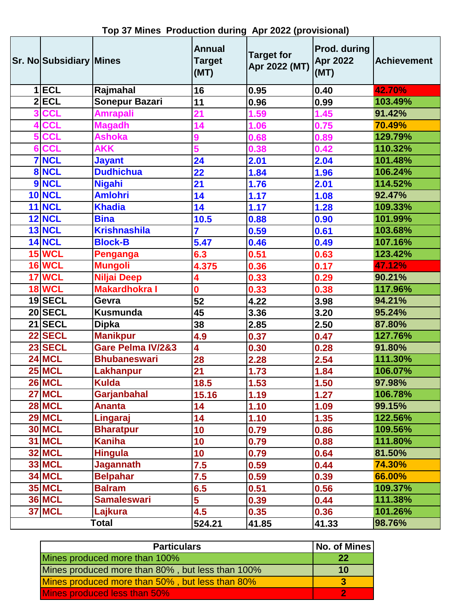|                         | Sr. No Subsidiary Mines |                      | <b>Annual</b><br><b>Target</b><br>(MT) | <b>Target for</b><br>Apr 2022 (MT) | Prod. during<br><b>Apr 2022</b><br>(MT) | <b>Achievement</b> |  |
|-------------------------|-------------------------|----------------------|----------------------------------------|------------------------------------|-----------------------------------------|--------------------|--|
|                         | $1$ ECL                 | Rajmahal             | 16                                     | 0.95                               | 0.40                                    | 42.70%             |  |
|                         | $2$ $ECL$               | Sonepur Bazari       | 11                                     | 0.96                               | 0.99                                    | 103.49%            |  |
| $\overline{\mathbf{3}}$ | <b>CCL</b>              | <b>Amrapali</b>      | $\overline{21}$                        | 1.59                               | 1.45                                    | 91.42%             |  |
| 4                       | <b>CCL</b>              | <b>Magadh</b>        | 14                                     | 1.06                               | 0.75                                    | 70.49%             |  |
| 5                       | <b>CCL</b>              | <b>Ashoka</b>        | 9                                      | 0.68                               | 0.89                                    | 129.79%            |  |
| $6\phantom{a}$          | <b>CCL</b>              | <b>AKK</b>           | 5                                      | 0.38                               | 0.42                                    | 110.32%            |  |
|                         | <b>7 NCL</b>            | <b>Jayant</b>        | 24                                     | 2.01                               | 2.04                                    | 101.48%            |  |
|                         | 8 NCL                   | <b>Dudhichua</b>     | 22                                     | 1.84                               | 1.96                                    | 106.24%            |  |
|                         | 9 NCL                   | <b>Nigahi</b>        | 21                                     | 1.76                               | 2.01                                    | 114.52%            |  |
|                         | <b>10 NCL</b>           | <b>Amlohri</b>       | 14                                     | 1.17                               | 1.08                                    | 92.47%             |  |
|                         | <b>11 NCL</b>           | <b>Khadia</b>        | 14                                     | 1.17                               | 1.28                                    | 109.33%            |  |
|                         | <b>12 NCL</b>           | <b>Bina</b>          | 10.5                                   | 0.88                               | 0.90                                    | 101.99%            |  |
|                         | <b>13 NCL</b>           | <b>Krishnashila</b>  | 7                                      | 0.59                               | 0.61                                    | 103.68%            |  |
|                         | <b>14 NCL</b>           | <b>Block-B</b>       | 5.47                                   | 0.46                               | 0.49                                    | 107.16%            |  |
|                         | <b>15 WCL</b>           | <b>Penganga</b>      | 6.3                                    | 0.51                               | 0.63                                    | 123.42%            |  |
|                         | <b>16 WCL</b>           | <b>Mungoli</b>       | 4.375                                  | 0.36                               | 0.17                                    | 47.12%             |  |
|                         | 17 WCL                  | Niljai Deep          | 4                                      | 0.33                               | 0.29                                    | 90.21%             |  |
|                         | <b>18 WCL</b>           | <b>Makardhokra I</b> | O                                      | 0.33                               | 0.38                                    | 117.96%            |  |
|                         | $19$ SECL               | Gevra                | 52                                     | 4.22                               | 3.98                                    | 94.21%             |  |
|                         | 20 SECL                 | <b>Kusmunda</b>      | 45                                     | 3.36                               | 3.20                                    | 95.24%             |  |
|                         | 21 SECL                 | <b>Dipka</b>         | 38                                     | 2.85                               | 2.50                                    | 87.80%             |  |
|                         | $22$ SECL               | <b>Manikpur</b>      | 4.9                                    | 0.37                               | 0.47                                    | 127.76%            |  |
|                         | 23 SECL                 | Gare Pelma IV/2&3    | 4                                      | 0.30                               | 0.28                                    | 91.80%             |  |
|                         | <b>24 MCL</b>           | <b>Bhubaneswari</b>  | 28                                     | 2.28                               | 2.54                                    | 111.30%            |  |
|                         | <b>25 MCL</b>           | <b>Lakhanpur</b>     | 21                                     | 1.73                               | 1.84                                    | 106.07%            |  |
|                         | <b>26 MCL</b>           | Kulda                | 18.5                                   | $1.53$                             | 1.50                                    | 97.98%             |  |
|                         | <b>27 MCL</b>           | Garjanbahal          | 15.16                                  | 1.19                               | 1.27                                    | 106.78%            |  |
|                         | <b>28 MCL</b>           | <b>Ananta</b>        | 14                                     | 1.10                               | 1.09                                    | 99.15%             |  |
|                         | <b>29 MCL</b>           | Lingaraj             | 14                                     | 1.10                               | 1.35                                    | 122.56%            |  |
|                         | <b>30 MCL</b>           | <b>Bharatpur</b>     | 10                                     | 0.79                               | 0.86                                    | 109.56%            |  |
|                         | <b>31 MCL</b>           | <b>Kaniha</b>        | 10                                     | 0.79                               | 0.88                                    | 111.80%            |  |
|                         | <b>32 MCL</b>           | Hingula              | 10                                     | 0.79                               | 0.64                                    | 81.50%             |  |
|                         | <b>33 MCL</b>           | <b>Jagannath</b>     | 7.5                                    | 0.59                               | 0.44                                    | 74.30%             |  |
|                         | <b>34 MCL</b>           | <b>Belpahar</b>      | 7.5                                    | 0.59                               | 0.39                                    | 66.00%             |  |
|                         | <b>35 MCL</b>           | <b>Balram</b>        | 6.5                                    | 0.51                               | 0.56                                    | 109.37%            |  |
|                         | <b>36 MCL</b>           | <b>Samaleswari</b>   | 5                                      | 0.39                               | 0.44                                    | 111.38%            |  |
|                         | <b>37 MCL</b>           | Lajkura              | 4.5                                    | 0.35                               | 0.36                                    | 101.26%            |  |
|                         |                         | Total                | 524.21                                 | 41.85                              | 41.33                                   | 98.76%             |  |

**Top 37 Mines Production during Apr 2022 (provisional)**

| <b>Particulars</b>                               | No. of Mines |
|--------------------------------------------------|--------------|
| Mines produced more than 100%                    | 22           |
| Mines produced more than 80%, but less than 100% | 10           |
| Mines produced more than 50%, but less than 80%  |              |
| Mines produced less than 50%                     |              |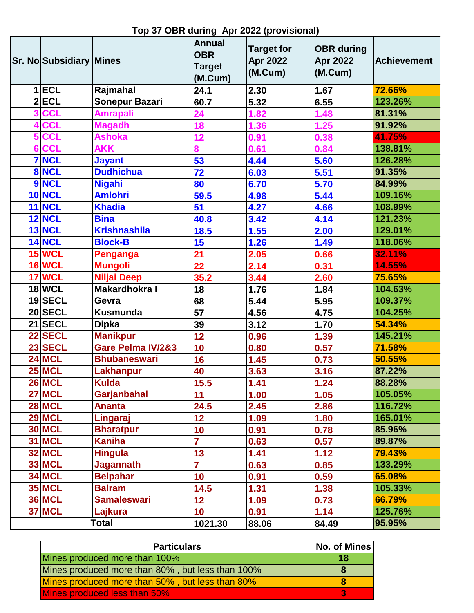|   | Sr. No Subsidiary Mines |                      | <b>Annual</b><br><b>OBR</b><br><b>Target</b><br>(M.Cum) | <b>Target for</b><br><b>Apr 2022</b><br>(M.Cum) | <b>OBR</b> during<br><b>Apr 2022</b><br>(M.Cum) | <b>Achievement</b> |
|---|-------------------------|----------------------|---------------------------------------------------------|-------------------------------------------------|-------------------------------------------------|--------------------|
|   | $1$ $ECL$               | Rajmahal             | 24.1                                                    | 2.30                                            | 1.67                                            | 72.66%             |
|   | $2$ ECL                 | Sonepur Bazari       | 60.7                                                    | 5.32                                            | 6.55                                            | 123.26%            |
|   | <b>CCL</b>              | <b>Amrapali</b>      | 24                                                      | 1.82                                            | 1.48                                            | 81.31%             |
| 4 | <b>CCL</b>              | <b>Magadh</b>        | 18                                                      | 1.36                                            | 1.25                                            | 91.92%             |
|   | <b>CCL</b>              | <b>Ashoka</b>        | 12                                                      | 0.91                                            | 0.38                                            | 41.75%             |
| 6 | <b>CCL</b>              | <b>AKK</b>           | 8                                                       | 0.61                                            | 0.84                                            | 138.81%            |
|   | <b>7 NCL</b>            | <b>Jayant</b>        | 53                                                      | 4.44                                            | 5.60                                            | 126.28%            |
|   | 8 NCL                   | <b>Dudhichua</b>     | 72                                                      | 6.03                                            | 5.51                                            | 91.35%             |
|   | 9 NCL                   | <b>Nigahi</b>        | 80                                                      | 6.70                                            | 5.70                                            | 84.99%             |
|   | <b>10 NCL</b>           | <b>Amlohri</b>       | 59.5                                                    | 4.98                                            | 5.44                                            | 109.16%            |
|   | $11$ NCL                | <b>Khadia</b>        | 51                                                      | 4.27                                            | 4.66                                            | 108.99%            |
|   | <b>12 NCL</b>           | <b>Bina</b>          | 40.8                                                    | 3.42                                            | 4.14                                            | 121.23%            |
|   | <b>13 NCL</b>           | <b>Krishnashila</b>  | 18.5                                                    | 1.55                                            | 2.00                                            | 129.01%            |
|   | <b>14 NCL</b>           | <b>Block-B</b>       | 15                                                      | 1.26                                            | 1.49                                            | 118.06%            |
|   | <b>15 WCL</b>           | <b>Penganga</b>      | 21                                                      | 2.05                                            | 0.66                                            | 32.11%             |
|   | <b>16 WCL</b>           | <b>Mungoli</b>       | $\overline{22}$                                         | 2.14                                            | 0.31                                            | 14.55%             |
|   | <b>17 WCL</b>           | <b>Niljai Deep</b>   | 35.2                                                    | 3.44                                            | 2.60                                            | 75.65%             |
|   | <b>18 WCL</b>           | <b>Makardhokra I</b> | 18                                                      | 1.76                                            | 1.84                                            | 104.63%            |
|   | 19 SECL                 | Gevra                | 68                                                      | 5.44                                            | 5.95                                            | 109.37%            |
|   | 20 SECL                 | <b>Kusmunda</b>      | 57                                                      | 4.56                                            | 4.75                                            | 104.25%            |
|   | $21$ SECL               | <b>Dipka</b>         | 39                                                      | 3.12                                            | 1.70                                            | 54.34%             |
|   | 22 SECL                 | <b>Manikpur</b>      | 12                                                      | 0.96                                            | 1.39                                            | 145.21%            |
|   | 23 SECL                 | Gare Pelma IV/2&3    | 10                                                      | 0.80                                            | 0.57                                            | 71.58%             |
|   | <b>24 MCL</b>           | <b>Bhubaneswari</b>  | 16                                                      | 1.45                                            | 0.73                                            | 50.55%             |
|   | <b>25 MCL</b>           | <b>Lakhanpur</b>     | 40                                                      | 3.63                                            | 3.16                                            | 87.22%             |
|   | <b>26 MCL</b>           | <b>Kulda</b>         | 15.5                                                    | 1.41                                            | 1.24                                            | 88.28%             |
|   | <b>27 MCL</b>           | Garjanbahal          | 11                                                      | 1.00                                            | 1.05                                            | 105.05%            |
|   | <b>28 MCL</b>           | <b>Ananta</b>        | 24.5                                                    | 2.45                                            | 2.86                                            | 116.72%            |
|   | <b>29 MCL</b>           | Lingaraj             | 12                                                      | 1.09                                            | 1.80                                            | 165.01%            |
|   | <b>30 MCL</b>           | <b>Bharatpur</b>     | 10                                                      | 0.91                                            | 0.78                                            | 85.96%             |
|   | <b>31 MCL</b>           | <b>Kaniha</b>        | $\overline{7}$                                          | 0.63                                            | 0.57                                            | 89.87%             |
|   | <b>32 MCL</b>           | <b>Hingula</b>       | 13                                                      | 1.41                                            | 1.12                                            | 79.43%             |
|   | <b>33 MCL</b>           | <b>Jagannath</b>     | $\overline{7}$                                          | 0.63                                            | 0.85                                            | 133.29%            |
|   | <b>34 MCL</b>           | <b>Belpahar</b>      | 10                                                      | 0.91                                            | 0.59                                            | 65.08%             |
|   | <b>35 MCL</b>           | <b>Balram</b>        | 14.5                                                    | 1.31                                            | 1.38                                            | 105.33%            |
|   | <b>36 MCL</b>           | <b>Samaleswari</b>   | 12                                                      | 1.09                                            | 0.73                                            | 66.79%             |
|   | <b>37 MCL</b>           | Lajkura              | 10                                                      | 0.91                                            | 1.14                                            | 125.76%            |
|   |                         | Total                | 1021.30                                                 | 88.06                                           | 84.49                                           | 95.95%             |

**Top 37 OBR during Apr 2022 (provisional)**

| <b>Particulars</b>                               | No. of Mines |
|--------------------------------------------------|--------------|
| Mines produced more than 100%                    | 18           |
| Mines produced more than 80%, but less than 100% |              |
| Mines produced more than 50%, but less than 80%  |              |
| Mines produced less than 50%                     |              |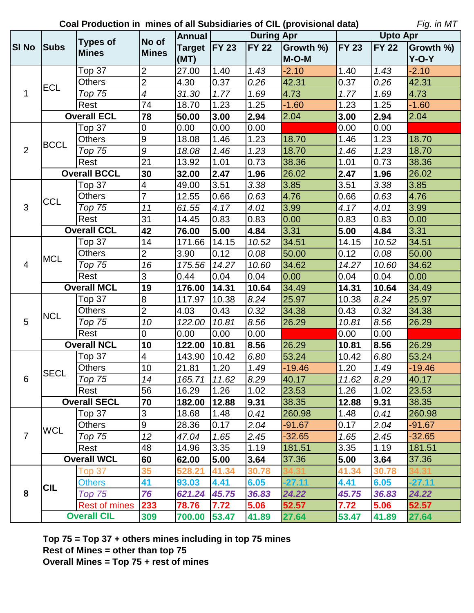**Coal Production in mines of all Subsidiaries of CIL (provisional data)**

*Fig. in MT*

|                |                    | <b>Types of</b>      | No of                   | <b>Annual</b>  |       | <b>During Apr</b> |           | <b>Upto Apr</b> |              |           |
|----------------|--------------------|----------------------|-------------------------|----------------|-------|-------------------|-----------|-----------------|--------------|-----------|
| <b>SI No</b>   | <b>Subs</b>        |                      |                         | Target   FY 23 |       | <b>FY 22</b>      | Growth %) | <b>FY 23</b>    | <b>FY 22</b> | Growth %) |
|                |                    | <b>Mines</b>         | <b>Mines</b>            | (MT)           |       |                   | $M-O-M$   |                 |              | $Y-O-Y$   |
|                |                    | Top 37               | $\overline{2}$          | 27.00          | 1.40  | 1.43              | $-2.10$   | 1.40            | 1.43         | $-2.10$   |
|                |                    | <b>Others</b>        | $\overline{2}$          | 4.30           | 0.37  | 0.26              | 42.31     | 0.37            | 0.26         | 42.31     |
| 1              | <b>ECL</b>         | Top 75               | $\overline{4}$          | 31.30          | 1.77  | 1.69              | 4.73      | 1.77            | 1.69         | 4.73      |
|                |                    | Rest                 | 74                      | 18.70          | 1.23  | 1.25              | $-1.60$   | 1.23            | 1.25         | $-1.60$   |
|                |                    | <b>Overall ECL</b>   | 78                      | 50.00          | 3.00  | 2.94              | 2.04      | 3.00            | 2.94         | 2.04      |
|                |                    | Top 37               | $\mathbf 0$             | 0.00           | 0.00  | 0.00              |           | 0.00            | 0.00         |           |
|                | <b>BCCL</b>        | <b>Others</b>        | $\boldsymbol{9}$        | 18.08          | 1.46  | 1.23              | 18.70     | 1.46            | 1.23         | 18.70     |
| 2              |                    | <b>Top 75</b>        | $\boldsymbol{9}$        | 18.08          | 1.46  | 1.23              | 18.70     | 1.46            | 1.23         | 18.70     |
|                |                    | Rest                 | $\overline{21}$         | 13.92          | 1.01  | 0.73              | 38.36     | 1.01            | 0.73         | 38.36     |
|                |                    | <b>Overall BCCL</b>  | 30                      | 32.00          | 2.47  | 1.96              | 26.02     | 2.47            | 1.96         | 26.02     |
|                |                    | Top 37               | $\overline{\mathbf{4}}$ | 49.00          | 3.51  | 3.38              | 3.85      | 3.51            | 3.38         | 3.85      |
|                | <b>CCL</b>         | <b>Others</b>        | $\overline{7}$          | 12.55          | 0.66  | 0.63              | 4.76      | 0.66            | 0.63         | 4.76      |
| 3              |                    | <b>Top 75</b>        | 11                      | 61.55          | 4.17  | 4.01              | 3.99      | 4.17            | 4.01         | 3.99      |
|                |                    | Rest                 | 31                      | 14.45          | 0.83  | 0.83              | 0.00      | 0.83            | 0.83         | 0.00      |
|                |                    | <b>Overall CCL</b>   | 42                      | 76.00          | 5.00  | 4.84              | 3.31      | 5.00            | 4.84         | 3.31      |
|                | <b>MCL</b>         | Top 37               | 14                      | 171.66         | 14.15 | 10.52             | 34.51     | 14.15           | 10.52        | 34.51     |
|                |                    | <b>Others</b>        | $\overline{c}$          | 3.90           | 0.12  | 0.08              | 50.00     | 0.12            | 0.08         | 50.00     |
| $\overline{4}$ |                    | <b>Top 75</b>        | 16                      | 175.56         | 14.27 | 10.60             | 34.62     | 14.27           | 10.60        | 34.62     |
|                |                    | Rest                 | 3                       | 0.44           | 0.04  | 0.04              | 0.00      | 0.04            | 0.04         | 0.00      |
|                |                    | <b>Overall MCL</b>   | 19                      | 176.00         | 14.31 | 10.64             | 34.49     | 14.31           | 10.64        | 34.49     |
|                |                    | Top $37$             | $\bf8$                  | 117.97         | 10.38 | 8.24              | 25.97     | 10.38           | 8.24         | 25.97     |
|                | <b>NCL</b>         | Others               | $\overline{2}$          | 4.03           | 0.43  | 0.32              | 34.38     | 0.43            | 0.32         | 34.38     |
| 5              |                    | Top 75               | 10                      | 122.00         | 10.81 | 8.56              | 26.29     | 10.81           | 8.56         | 26.29     |
|                |                    | Rest                 | $\pmb{0}$               | 0.00           | 0.00  | 0.00              |           | 0.00            | 0.00         |           |
|                |                    | <b>Overall NCL</b>   | 10                      | 122.00         | 10.81 | 8.56              | 26.29     | 10.81           | 8.56         | 26.29     |
|                |                    | Top 37               | $\overline{4}$          | 143.90         | 10.42 | 6.80              | 53.24     | 10.42           | 6.80         | 53.24     |
|                | <b>SECL</b>        | <b>Others</b>        | 10                      | 21.81          | 1.20  | 1.49              | $-19.46$  | 1.20            | 1.49         | $-19.46$  |
| $6^{\circ}$    |                    | $\overline{Top}$ 75  | $\overline{14}$         | 165.71 11.62   |       | 8.29              | 40.17     | 11.62           | 8.29         | 40.17     |
|                |                    | Rest                 | 56                      | 16.29          | 1.26  | 1.02              | 23.53     | 1.26            | 1.02         | 23.53     |
|                |                    | <b>Overall SECL</b>  | 70                      | 182.00         | 12.88 | 9.31              | 38.35     | 12.88           | 9.31         | 38.35     |
|                |                    | Top 37               | 3                       | 18.68          | 1.48  | 0.41              | 260.98    | 1.48            | 0.41         | 260.98    |
|                | <b>WCL</b>         | <b>Others</b>        | $9\,$                   | 28.36          | 0.17  | 2.04              | $-91.67$  | 0.17            | 2.04         | $-91.67$  |
| $\overline{7}$ |                    | Top 75               | 12                      | 47.04          | 1.65  | 2.45              | $-32.65$  | 1.65            | 2.45         | $-32.65$  |
|                |                    | Rest                 | 48                      | 14.96          | 3.35  | 1.19              | 181.51    | 3.35            | 1.19         | 181.51    |
|                |                    | <b>Overall WCL</b>   | 60                      | 62.00          | 5.00  | 3.64              | 37.36     | 5.00            | 3.64         | 37.36     |
|                |                    | Top 37               | 35                      | 528.21         | 41.34 | 30.78             |           | 41.34           | 30.78        |           |
|                | <b>CIL</b>         | <b>Others</b>        | 41                      | 93.03          | 4.41  | 6.05              | $-27.11$  | 4.41            | 6.05         | $-27.11$  |
| 8              |                    | Top 75               | 76                      | 621.24         | 45.75 | 36.83             | 24.22     | 45.75           | 36.83        | 24.22     |
|                |                    | <b>Rest of mines</b> | 233                     | 78.76          | 7.72  | 5.06              | 52.57     | 7.72            | 5.06         | 52.57     |
|                | <b>Overall CIL</b> |                      | 309                     | 700.00         | 53.47 | 41.89             | 27.64     | 53.47           | 41.89        | 27.64     |

**Top 75 = Top 37 + others mines including in top 75 mines Rest of Mines = other than top 75 Overall Mines = Top 75 + rest of mines**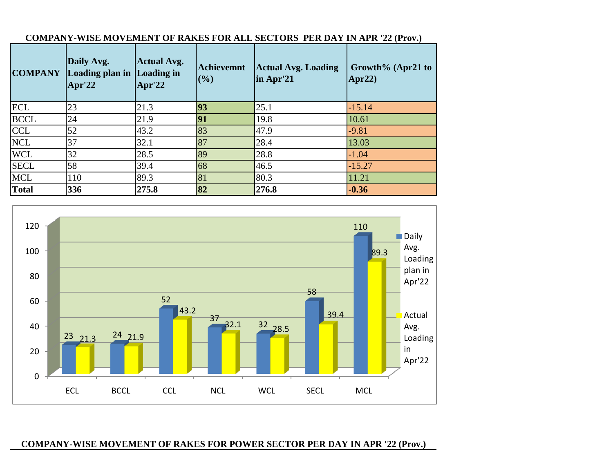| <b>COMPANY</b> | Daily Avg.<br>Loading plan in Loading in<br>Apr'22 | <b>Actual Avg.</b><br>Apr'22 | <b>Achievemnt</b><br>(%) | <b>Actual Avg. Loading</b><br>in Apr'21 | Growth% (Apr21 to<br>Apr22 $)$ |
|----------------|----------------------------------------------------|------------------------------|--------------------------|-----------------------------------------|--------------------------------|
| <b>ECL</b>     | 23                                                 | 21.3                         | 93                       | 25.1                                    | $-15.14$                       |
| <b>BCCL</b>    | 24                                                 | 21.9                         | 91                       | 19.8                                    | 10.61                          |
| <b>CCL</b>     | 52                                                 | 43.2                         | 83                       | 47.9                                    | $-9.81$                        |
| <b>NCL</b>     | 37                                                 | 32.1                         | 87                       | 28.4                                    | 13.03                          |
| <b>WCL</b>     | 32                                                 | 28.5                         | 89                       | 28.8                                    | $-1.04$                        |
| <b>SECL</b>    | 58                                                 | 39.4                         | 68                       | 46.5                                    | $-15.27$                       |
| <b>MCL</b>     | 110                                                | 89.3                         | 81                       | 80.3                                    | 11.21                          |
| <b>Total</b>   | 336                                                | 275.8                        | 82                       | 276.8                                   | $-0.36$                        |

# **COMPANY-WISE MOVEMENT OF RAKES FOR ALL SECTORS PER DAY IN APR '22 (Prov.)**



# **COMPANY-WISE MOVEMENT OF RAKES FOR POWER SECTOR PER DAY IN APR '22 (Prov.)**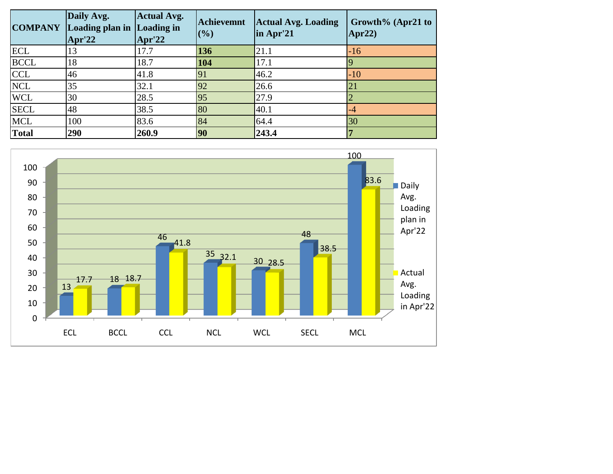| <b>COMPANY</b> | Daily Avg.<br>Loading plan in Loading in<br>$~\mathrm{Apr'22}$ | <b>Actual Avg.</b><br>Apr'22 | <b>Achievemnt</b><br>(%) | <b>Actual Avg. Loading</b><br>in Apr'21 | Growth% (Apr21 to<br>Apr22 $)$ |
|----------------|----------------------------------------------------------------|------------------------------|--------------------------|-----------------------------------------|--------------------------------|
| <b>ECL</b>     | 13                                                             | 17.7                         | 136                      | 21.1                                    | $-16$                          |
| <b>BCCL</b>    | 18                                                             | 18.7                         | 104                      | 17.1                                    |                                |
| <b>CCL</b>     | 46                                                             | 41.8                         | 91                       | 46.2                                    | $-10$                          |
| <b>NCL</b>     | 35                                                             | 32.1                         | 92                       | 26.6                                    | 21                             |
| <b>WCL</b>     | 30                                                             | 28.5                         | 95                       | 27.9                                    |                                |
| <b>SECL</b>    | 48                                                             | 38.5                         | 80                       | 40.1                                    | $-4$                           |
| <b>MCL</b>     | 100                                                            | 83.6                         | 84                       | 64.4                                    | 30                             |
| Total          | 290                                                            | 260.9                        | 90                       | 243.4                                   |                                |

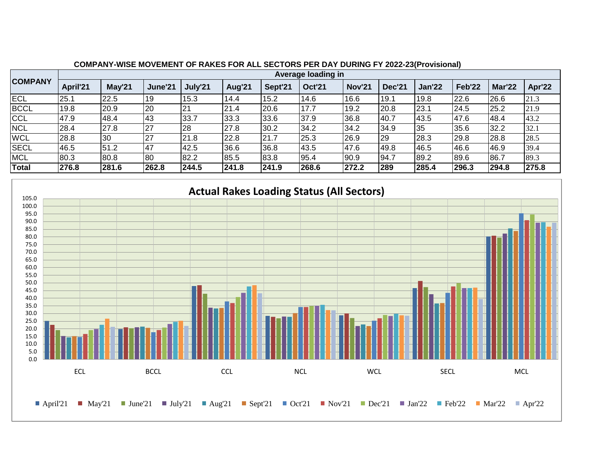|                | ----------- |                    |           |         |        |         |               |               |               |               |        |               |        |  |
|----------------|-------------|--------------------|-----------|---------|--------|---------|---------------|---------------|---------------|---------------|--------|---------------|--------|--|
|                |             | Average loading in |           |         |        |         |               |               |               |               |        |               |        |  |
| <b>COMPANY</b> | April'21    | May'21             | June'21   | July'21 | Aug'21 | Sept'21 | <b>Oct'21</b> | <b>Nov'21</b> | <b>Dec'21</b> | <b>Jan'22</b> | Feb'22 | <b>Mar'22</b> | Apr'22 |  |
| <b>ECL</b>     | 25.1        | 22.5               | 19        | 15.3    | 14.4   | 15.2    | 14.6          | 16.6          | 19.1          | 19.8          | 22.6   | 26.6          | 21.3   |  |
| <b>BCCL</b>    | 19.8        | 20.9               | 20        | 21      | 21.4   | 20.6    | 17.7          | 19.2          | 20.8          | 23.1          | 24.5   | 25.2          | 21.9   |  |
| CCL            | 47.9        | 48.4               | 43        | 33.7    | 33.3   | 33.6    | 37.9          | 36.8          | 40.7          | 43.5          | 47.6   | 48.4          | 43.2   |  |
| <b>NCL</b>     | 28.4        | 27.8               | 27        | 28      | 27.8   | 30.2    | 34.2          | 34.2          | 34.9          | 35            | 35.6   | 32.2          | 32.1   |  |
| <b>WCL</b>     | 28.8        | '30                | 27        | 21.8    | 22.8   | 121.7   | 25.3          | 26.9          | 29            | 28.3          | 29.8   | 28.8          | 28.5   |  |
| <b>SECL</b>    | 46.5        | 51.2               | <b>47</b> | 42.5    | 36.6   | 36.8    | 43.5          | 47.6          | 49.8          | 46.5          | 46.6   | 46.9          | 39.4   |  |
| <b>MCL</b>     | 80.3        | 80.8               | 80        | 82.2    | 85.5   | 83.8    | 95.4          | 90.9          | 94.7          | 89.2          | 89.6   | 86.7          | 89.3   |  |
| <b>Total</b>   | 276.8       | 281.6              | 262.8     | 244.5   | 241.8  | 241.9   | 268.6         | 272.2         | 289           | 285.4         | 296.3  | 294.8         | 275.8  |  |

#### **COMPANY-WISE MOVEMENT OF RAKES FOR ALL SECTORS PER DAY DURING FY 2022-23(Provisional)**